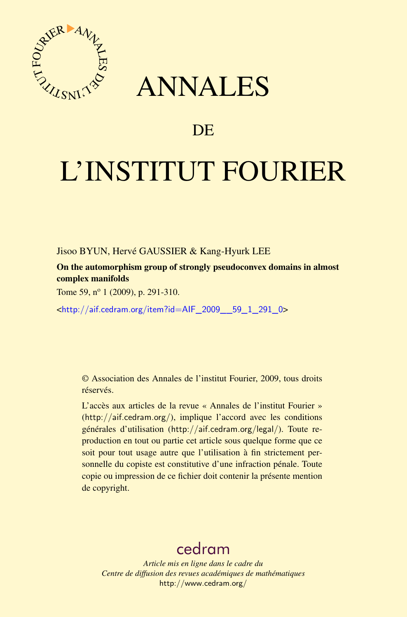

## ANNALES

## **DE**

# L'INSTITUT FOURIER

Jisoo BYUN, Hervé GAUSSIER & Kang-Hyurk LEE

On the automorphism group of strongly pseudoconvex domains in almost complex manifolds

Tome 59, nº 1 (2009), p. 291-310.

<[http://aif.cedram.org/item?id=AIF\\_2009\\_\\_59\\_1\\_291\\_0](http://aif.cedram.org/item?id=AIF_2009__59_1_291_0)>

© Association des Annales de l'institut Fourier, 2009, tous droits réservés.

L'accès aux articles de la revue « Annales de l'institut Fourier » (<http://aif.cedram.org/>), implique l'accord avec les conditions générales d'utilisation (<http://aif.cedram.org/legal/>). Toute reproduction en tout ou partie cet article sous quelque forme que ce soit pour tout usage autre que l'utilisation à fin strictement personnelle du copiste est constitutive d'une infraction pénale. Toute copie ou impression de ce fichier doit contenir la présente mention de copyright.

## [cedram](http://www.cedram.org/)

*Article mis en ligne dans le cadre du Centre de diffusion des revues académiques de mathématiques* <http://www.cedram.org/>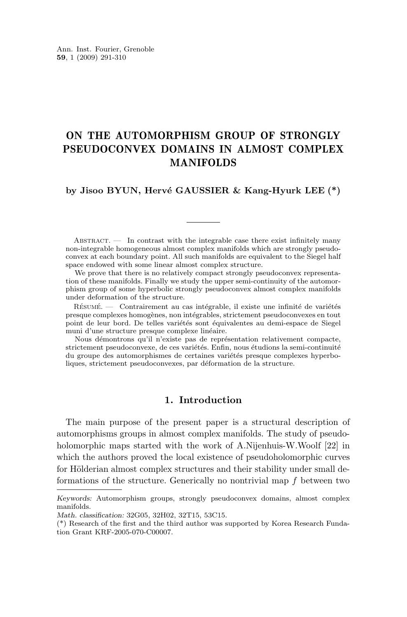### ON THE AUTOMORPHISM GROUP OF STRONGLY PSEUDOCONVEX DOMAINS IN ALMOST COMPLEX MANIFOLDS

#### **by Jisoo BYUN, Hervé GAUSSIER & Kang-Hyurk LEE (\*)**

ABSTRACT.  $\qquad$  In contrast with the integrable case there exist infinitely many non-integrable homogeneous almost complex manifolds which are strongly pseudoconvex at each boundary point. All such manifolds are equivalent to the Siegel half space endowed with some linear almost complex structure.

We prove that there is no relatively compact strongly pseudoconvex representation of these manifolds. Finally we study the upper semi-continuity of the automorphism group of some hyperbolic strongly pseudoconvex almost complex manifolds under deformation of the structure.

Résumé. — Contrairement au cas intégrable, il existe une infinité de variétés presque complexes homogènes, non intégrables, strictement pseudoconvexes en tout point de leur bord. De telles variétés sont équivalentes au demi-espace de Siegel muni d'une structure presque complexe linéaire.

Nous démontrons qu'il n'existe pas de représentation relativement compacte, strictement pseudoconvexe, de ces variétés. Enfin, nous étudions la semi-continuité du groupe des automorphismes de certaines variétés presque complexes hyperboliques, strictement pseudoconvexes, par déformation de la structure.

#### **1. Introduction**

The main purpose of the present paper is a structural description of automorphisms groups in almost complex manifolds. The study of pseudoholomorphic maps started with the work of A.Nijenhuis-W.Woolf [\[22\]](#page-19-0) in which the authors proved the local existence of pseudoholomorphic curves for Hölderian almost complex structures and their stability under small deformations of the structure. Generically no nontrivial map f between two

*Keywords:* Automorphism groups, strongly pseudoconvex domains, almost complex manifolds.

*Math. classification:* 32G05, 32H02, 32T15, 53C15.

<sup>(\*)</sup> Research of the first and the third author was supported by Korea Research Fundation Grant KRF-2005-070-C00007.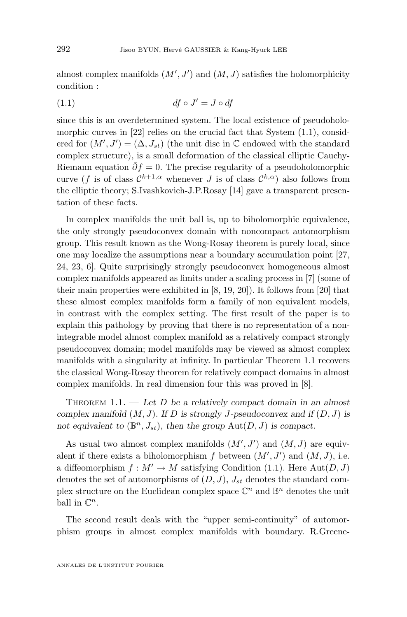<span id="page-2-0"></span>almost complex manifolds  $(M', J')$  and  $(M, J)$  satisfies the holomorphicity condition :

$$
(1.1) \t df \circ J' = J \circ df
$$

since this is an overdetermined system. The local existence of pseudoholo-morphic curves in [\[22\]](#page-19-0) relies on the crucial fact that System  $(1.1)$ , considered for  $(M', J') = (\Delta, J_{st})$  (the unit disc in  $\mathbb C$  endowed with the standard complex structure), is a small deformation of the classical elliptic Cauchy-Riemann equation  $\bar{\partial}f=0$ . The precise regularity of a pseudoholomorphic curve (f is of class  $\mathcal{C}^{k+1,\alpha}$  whenever J is of class  $\mathcal{C}^{k,\alpha}$ ) also follows from the elliptic theory; S.Ivashkovich-J.P.Rosay [\[14\]](#page-19-0) gave a transparent presentation of these facts.

In complex manifolds the unit ball is, up to biholomorphic equivalence, the only strongly pseudoconvex domain with noncompact automorphism group. This result known as the Wong-Rosay theorem is purely local, since one may localize the assumptions near a boundary accumulation point [\[27,](#page-19-0) [24,](#page-19-0) [23,](#page-19-0) [6\]](#page-18-0). Quite surprisingly strongly pseudoconvex homogeneous almost complex manifolds appeared as limits under a scaling process in [\[7\]](#page-18-0) (some of their main properties were exhibited in [\[8,](#page-18-0) [19,](#page-19-0) [20\]](#page-19-0)). It follows from [\[20\]](#page-19-0) that these almost complex manifolds form a family of non equivalent models, in contrast with the complex setting. The first result of the paper is to explain this pathology by proving that there is no representation of a nonintegrable model almost complex manifold as a relatively compact strongly pseudoconvex domain; model manifolds may be viewed as almost complex manifolds with a singularity at infinity. In particular Theorem 1.1 recovers the classical Wong-Rosay theorem for relatively compact domains in almost complex manifolds. In real dimension four this was proved in [\[8\]](#page-18-0).

Theorem 1.1. — *Let* D *be a relatively compact domain in an almost complex manifold* (M, J)*. If* D *is strongly* J*-pseudoconvex and if* (D, J) *is* not equivalent to  $(\mathbb{B}^n, J_{st})$ , then the group  $\text{Aut}(D, J)$  is compact.

As usual two almost complex manifolds  $(M', J')$  and  $(M, J)$  are equivalent if there exists a biholomorphism  $f$  between  $(M', J')$  and  $(M, J)$ , i.e. a diffeomorphism  $f : M' \to M$  satisfying Condition (1.1). Here Aut $(D, J)$ denotes the set of automorphisms of  $(D, J)$ ,  $J_{st}$  denotes the standard complex structure on the Euclidean complex space  $\mathbb{C}^n$  and  $\mathbb{B}^n$  denotes the unit ball in  $\mathbb{C}^n$ .

The second result deals with the "upper semi-continuity" of automorphism groups in almost complex manifolds with boundary. R.Greene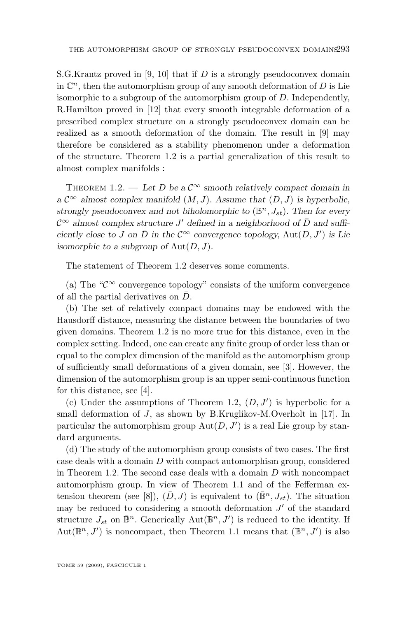<span id="page-3-0"></span>S.G.Krantz proved in [\[9,](#page-18-0) [10\]](#page-18-0) that if D is a strongly pseudoconvex domain in  $\mathbb{C}^n$ , then the automorphism group of any smooth deformation of D is Lie isomorphic to a subgroup of the automorphism group of D. Independently, R.Hamilton proved in [\[12\]](#page-18-0) that every smooth integrable deformation of a prescribed complex structure on a strongly pseudoconvex domain can be realized as a smooth deformation of the domain. The result in [\[9\]](#page-18-0) may therefore be considered as a stability phenomenon under a deformation of the structure. Theorem 1.2 is a partial generalization of this result to almost complex manifolds :

THEOREM 1.2. — Let D be a  $\mathcal{C}^{\infty}$  smooth relatively compact domain in *a*  $\mathcal{C}^{\infty}$  *almost complex manifold*  $(M, J)$ *. Assume that*  $(D, J)$  *is hyperbolic,* strongly pseudoconvex and not biholomorphic to  $(\mathbb{B}^n, J_{st})$ . Then for every  $\mathcal{C}^{\infty}$  almost complex structure  $J'$  defined in a neighborhood of  $\overline{D}$  and suffi*ciently close to J* on  $\overline{D}$  *in the*  $C^{\infty}$  *convergence topology,*  $Aut(D, J')$  *is Lie isomorphic to a subgroup of*  $Aut(D, J)$ *.* 

The statement of Theorem 1.2 deserves some comments.

(a) The " $\mathcal{C}^{\infty}$  convergence topology" consists of the uniform convergence of all the partial derivatives on  $\bar{D}$ .

(b) The set of relatively compact domains may be endowed with the Hausdorff distance, measuring the distance between the boundaries of two given domains. Theorem 1.2 is no more true for this distance, even in the complex setting. Indeed, one can create any finite group of order less than or equal to the complex dimension of the manifold as the automorphism group of sufficiently small deformations of a given domain, see [\[3\]](#page-18-0). However, the dimension of the automorphism group is an upper semi-continuous function for this distance, see [\[4\]](#page-18-0).

(c) Under the assumptions of Theorem 1.2,  $(D, J')$  is hyperbolic for a small deformation of J, as shown by B.Kruglikov-M.Overholt in [\[17\]](#page-19-0). In particular the automorphism group  $Aut(D, J')$  is a real Lie group by standard arguments.

(d) The study of the automorphism group consists of two cases. The first case deals with a domain  $D$  with compact automorphism group, considered in Theorem 1.2. The second case deals with a domain  $D$  with noncompact automorphism group. In view of Theorem [1.1](#page-2-0) and of the Fefferman ex-tension theorem (see [\[8\]](#page-18-0)),  $(\bar{D}, J)$  is equivalent to  $(\bar{\mathbb{B}}^n, J_{st})$ . The situation may be reduced to considering a smooth deformation  $J'$  of the standard structure  $J_{st}$  on  $\mathbb{B}^n$ . Generically  $\text{Aut}(\mathbb{B}^n, J')$  is reduced to the identity. If Aut $(\mathbb{B}^n, J')$  is noncompact, then Theorem [1.1](#page-2-0) means that  $(\mathbb{B}^n, J')$  is also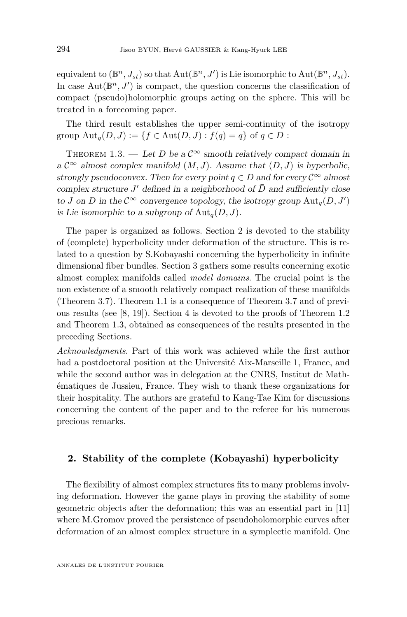<span id="page-4-0"></span>equivalent to  $(\mathbb{B}^n, J_{st})$  so that  $\text{Aut}(\mathbb{B}^n, J')$  is Lie isomorphic to  $\text{Aut}(\mathbb{B}^n, J_{st})$ . In case  $Aut(\mathbb{B}^n, J')$  is compact, the question concerns the classification of compact (pseudo)holomorphic groups acting on the sphere. This will be treated in a forecoming paper.

The third result establishes the upper semi-continuity of the isotropy group  $\text{Aut}_q(D, J) := \{f \in \text{Aut}(D, J) : f(q) = q\}$  of  $q \in D$ :

THEOREM 1.3. — Let D be a  $\mathcal{C}^{\infty}$  smooth relatively compact domain in  $a \mathcal{C}^{\infty}$  *almost complex manifold*  $(M, J)$ *. Assume that*  $(D, J)$  *is hyperbolic, strongly pseudoconvex. Then for every point*  $q \in D$  *and for every*  $C^{\infty}$  *almost complex structure*  $J'$  *defined in a neighborhood of*  $\overline{D}$  *and sufficiently close to J* on  $\bar{D}$  *in the*  $C^{\infty}$  *convergence topology, the isotropy group*  $\text{Aut}_{q}(D, J')$ *is Lie isomorphic to a subgroup of*  $\text{Aut}_q(D, J)$ *.* 

The paper is organized as follows. Section 2 is devoted to the stability of (complete) hyperbolicity under deformation of the structure. This is related to a question by S.Kobayashi concerning the hyperbolicity in infinite dimensional fiber bundles. Section 3 gathers some results concerning exotic almost complex manifolds called *model domains*. The crucial point is the non existence of a smooth relatively compact realization of these manifolds (Theorem [3.7\)](#page-11-0). Theorem [1.1](#page-2-0) is a consequence of Theorem [3.7](#page-11-0) and of previous results (see [\[8,](#page-18-0) [19\]](#page-19-0)). Section 4 is devoted to the proofs of Theorem [1.2](#page-3-0) and Theorem 1.3, obtained as consequences of the results presented in the preceding Sections.

*Acknowledgments*. Part of this work was achieved while the first author had a postdoctoral position at the Université Aix-Marseille 1, France, and while the second author was in delegation at the CNRS, Institut de Mathématiques de Jussieu, France. They wish to thank these organizations for their hospitality. The authors are grateful to Kang-Tae Kim for discussions concerning the content of the paper and to the referee for his numerous precious remarks.

#### **2. Stability of the complete (Kobayashi) hyperbolicity**

The flexibility of almost complex structures fits to many problems involving deformation. However the game plays in proving the stability of some geometric objects after the deformation; this was an essential part in [\[11\]](#page-18-0) where M.Gromov proved the persistence of pseudoholomorphic curves after deformation of an almost complex structure in a symplectic manifold. One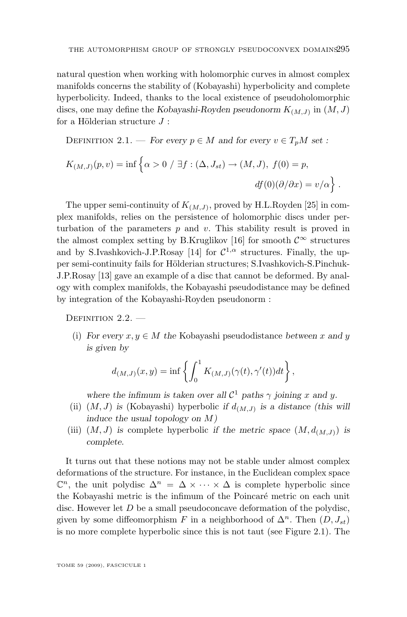natural question when working with holomorphic curves in almost complex manifolds concerns the stability of (Kobayashi) hyperbolicity and complete hyperbolicity. Indeed, thanks to the local existence of pseudoholomorphic discs, one may define the *Kobayashi-Royden pseudonorm*  $K_{(M,J)}$  in  $(M,J)$ for a Hölderian structure  $J$ :

DEFINITION 2.1. — *For every*  $p \in M$  *and for every*  $v \in T_pM$  *set :* 

$$
K_{(M,J)}(p,v) = \inf \left\{ \alpha > 0 \mid \exists f : (\Delta, J_{st}) \to (M, J), f(0) = p, \right\}
$$
  

$$
df(0)(\partial/\partial x) = v/\alpha \right\}.
$$

The upper semi-continuity of  $K_{(M,J)}$ , proved by H.L.Royden [\[25\]](#page-19-0) in complex manifolds, relies on the persistence of holomorphic discs under perturbation of the parameters  $p$  and  $v$ . This stability result is proved in the almost complex setting by B.Kruglikov [\[16\]](#page-19-0) for smooth  $\mathcal{C}^{\infty}$  structures and by S.Ivashkovich-J.P.Rosay [\[14\]](#page-19-0) for  $C^{1,\alpha}$  structures. Finally, the upper semi-continuity fails for Hölderian structures; S.Ivashkovich-S.Pinchuk-J.P.Rosay [\[13\]](#page-18-0) gave an example of a disc that cannot be deformed. By analogy with complex manifolds, the Kobayashi pseudodistance may be defined by integration of the Kobayashi-Royden pseudonorm :

DEFINITION  $2.2.$  —

(i) *For every*  $x, y \in M$  *the* Kobayashi pseudodistance *between* x and y *is given by*

$$
d_{(M,J)}(x,y)=\inf\left\{\int_0^1 K_{(M,J)}(\gamma(t),\gamma'(t))dt\right\},\,
$$

where the infimum is taken over all  $\mathcal{C}^1$  paths  $\gamma$  joining x and y.

- (ii)  $(M, J)$  *is* (Kobayashi) hyperbolic *if*  $d_{(M, J)}$  *is a distance (this will induce the usual topology on* M*)*
- (iii)  $(M, J)$  is complete hyperbolic *if the metric space*  $(M, d_{(M,J)})$  *is complete.*

It turns out that these notions may not be stable under almost complex deformations of the structure. For instance, in the Euclidean complex space  $\mathbb{C}^n$ , the unit polydisc  $\Delta^n = \Delta \times \cdots \times \Delta$  is complete hyperbolic since the Kobayashi metric is the infimum of the Poincaré metric on each unit disc. However let  $D$  be a small pseudoconcave deformation of the polydisc, given by some diffeomorphism F in a neighborhood of  $\Delta^n$ . Then  $(D, J_{st})$ is no more complete hyperbolic since this is not taut (see Figure [2.1\)](#page-6-0). The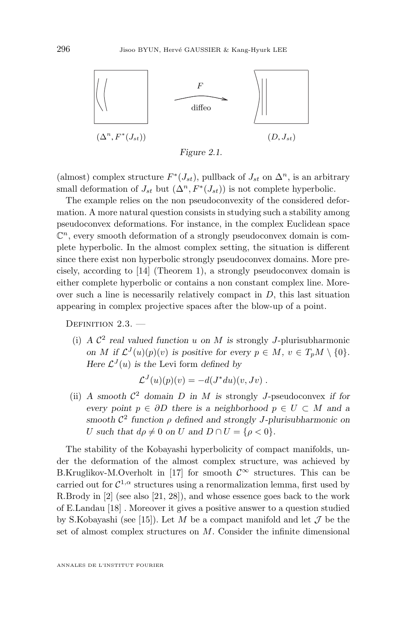<span id="page-6-0"></span>

*Figure 2.1.*

(almost) complex structure  $F^*(J_{st})$ , pullback of  $J_{st}$  on  $\Delta^n$ , is an arbitrary small deformation of  $J_{st}$  but  $(\Delta^n, F^*(J_{st}))$  is not complete hyperbolic.

The example relies on the non pseudoconvexity of the considered deformation. A more natural question consists in studying such a stability among pseudoconvex deformations. For instance, in the complex Euclidean space  $\mathbb{C}^n$ , every smooth deformation of a strongly pseudoconvex domain is complete hyperbolic. In the almost complex setting, the situation is different since there exist non hyperbolic strongly pseudoconvex domains. More precisely, according to [\[14\]](#page-19-0) (Theorem 1), a strongly pseudoconvex domain is either complete hyperbolic or contains a non constant complex line. Moreover such a line is necessarily relatively compact in  $D$ , this last situation appearing in complex projective spaces after the blow-up of a point.

DEFINITION  $2.3.$  —

(i)  $A C<sup>2</sup>$  *real valued function* u on M *is* strongly J-plurisubharmonic *on M* if  $\mathcal{L}^{J}(u)(p)(v)$  *is positive for every*  $p \in M$ ,  $v \in T_pM \setminus \{0\}$ *. Here*  $\mathcal{L}^{J}(u)$  *is the* Levi form *defined by* 

$$
\mathcal{L}^{J}(u)(p)(v) = -d(J^*du)(v,Jv) .
$$

(ii) *A* smooth  $C^2$  domain *D* in *M* is strongly *J*-pseudoconvex if for *every point*  $p \in \partial D$  *there is a neighborhood*  $p \in U \subset M$  *and a*  $\text{smooth } \mathcal{C}^2 \text{ function } \rho \text{ defined and strongly } J\text{-plurisubharmonic on } \rho.$ U such that  $d\rho \neq 0$  on U and  $D \cap U = \{\rho < 0\}.$ 

The stability of the Kobayashi hyperbolicity of compact manifolds, under the deformation of the almost complex structure, was achieved by B.Kruglikov-M.Overholt in [\[17\]](#page-19-0) for smooth  $\mathcal{C}^{\infty}$  structures. This can be carried out for  $C^{1,\alpha}$  structures using a renormalization lemma, first used by R.Brody in [\[2\]](#page-18-0) (see also [\[21,](#page-19-0) [28\]](#page-19-0)), and whose essence goes back to the work of E.Landau [\[18\]](#page-19-0) . Moreover it gives a positive answer to a question studied by S.Kobayashi (see [\[15\]](#page-19-0)). Let M be a compact manifold and let  $\mathcal J$  be the set of almost complex structures on M. Consider the infinite dimensional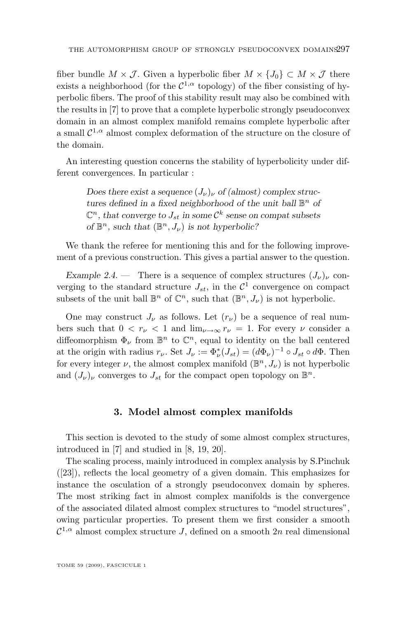fiber bundle  $M \times \mathcal{J}$ . Given a hyperbolic fiber  $M \times \{J_0\} \subset M \times \mathcal{J}$  there exists a neighborhood (for the  $C^{1,\alpha}$  topology) of the fiber consisting of hyperbolic fibers. The proof of this stability result may also be combined with the results in [\[7\]](#page-18-0) to prove that a complete hyperbolic strongly pseudoconvex domain in an almost complex manifold remains complete hyperbolic after a small  $\mathcal{C}^{1,\alpha}$  almost complex deformation of the structure on the closure of the domain.

An interesting question concerns the stability of hyperbolicity under different convergences. In particular :

> *Does there exist a sequence*  $(J_{\nu})_{\nu}$  *of (almost) complex structures defined in a fixed neighborhood of the unit ball*  $\mathbb{B}^n$  *of*  $\mathbb{C}^n$ , that converge to  $J_{st}$  in some  $\mathcal{C}^k$  sense on compat subsets *of*  $\mathbb{B}^n$ , *such that*  $(\mathbb{B}^n, J_\nu)$  *is not hyperbolic?*

We thank the referee for mentioning this and for the following improvement of a previous construction. This gives a partial answer to the question.

*Example 2.4.* — There is a sequence of complex structures  $(J_{\nu})_{\nu}$  converging to the standard structure  $J_{st}$ , in the  $\mathcal{C}^1$  convergence on compact subsets of the unit ball  $\mathbb{B}^n$  of  $\mathbb{C}^n$ , such that  $(\mathbb{B}^n, J_{\nu})$  is not hyperbolic.

One may construct  $J_{\nu}$  as follows. Let  $(r_{\nu})$  be a sequence of real numbers such that  $0 < r_{\nu} < 1$  and  $\lim_{\nu \to \infty} r_{\nu} = 1$ . For every  $\nu$  consider a diffeomorphism  $\Phi_{\nu}$  from  $\mathbb{B}^n$  to  $\mathbb{C}^n$ , equal to identity on the ball centered at the origin with radius  $r_{\nu}$ . Set  $J_{\nu} := \Phi_{\nu}^*(J_{st}) = (d\Phi_{\nu})^{-1} \circ J_{st} \circ d\Phi$ . Then for every integer  $\nu$ , the almost complex manifold  $(\mathbb{B}^n, J_{\nu})$  is not hyperbolic and  $(J_{\nu})_{\nu}$  converges to  $J_{st}$  for the compact open topology on  $\mathbb{B}^n$ .

#### **3. Model almost complex manifolds**

This section is devoted to the study of some almost complex structures, introduced in [\[7\]](#page-18-0) and studied in [\[8,](#page-18-0) [19,](#page-19-0) [20\]](#page-19-0).

The scaling process, mainly introduced in complex analysis by S.Pinchuk ([\[23\]](#page-19-0)), reflects the local geometry of a given domain. This emphasizes for instance the osculation of a strongly pseudoconvex domain by spheres. The most striking fact in almost complex manifolds is the convergence of the associated dilated almost complex structures to "model structures", owing particular properties. To present them we first consider a smooth  $\mathcal{C}^{1,\alpha}$  almost complex structure J, defined on a smooth  $2n$  real dimensional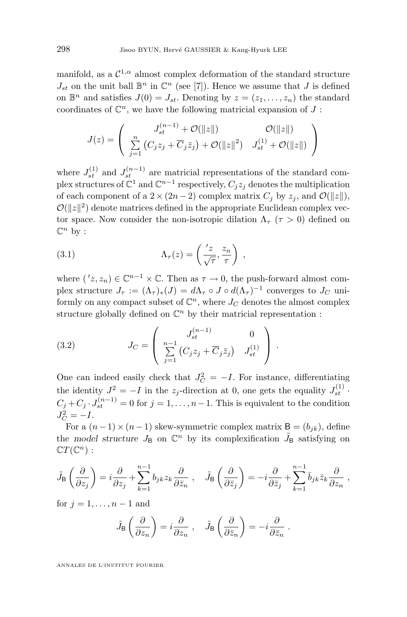<span id="page-8-0"></span>manifold, as a  $\mathcal{C}^{1,\alpha}$  almost complex deformation of the standard structure  $J_{st}$  on the unit ball  $\mathbb{B}^n$  in  $\mathbb{C}^n$  (see [\[7\]](#page-18-0)). Hence we assume that J is defined on  $\mathbb{B}^n$  and satisfies  $J(0) = J_{st}$ . Denoting by  $z = (z_1, \ldots, z_n)$  the standard coordinates of  $\mathbb{C}^n$ , we have the following matricial expansion of  $J$ :

$$
J(z) = \begin{pmatrix} J_{st}^{(n-1)} + \mathcal{O}(\|z\|) & \mathcal{O}(\|z\|) \\ \sum_{j=1}^{n} (C_j z_j + \overline{C}_j \overline{z}_j) + \mathcal{O}(\|z\|^2) & J_{st}^{(1)} + \mathcal{O}(\|z\|) \end{pmatrix}
$$

where  $J_{st}^{(1)}$  and  $J_{st}^{(n-1)}$  are matricial representations of the standard complex structures of  $\mathbb{C}^1$  and  $\mathbb{C}^{n-1}$  respectively,  $C_j z_j$  denotes the multiplication of each component of a  $2 \times (2n-2)$  complex matrix  $C_i$  by  $z_i$ , and  $\mathcal{O}(\|z\|)$ ,  $\mathcal{O}(|z|^2)$  denote matrices defined in the appropriate Euclidean complex vector space. Now consider the non-isotropic dilation  $\Lambda_{\tau}$  ( $\tau > 0$ ) defined on  $\mathbb{C}^n$  by :

(3.1) 
$$
\Lambda_{\tau}(z) = \left(\frac{z}{\sqrt{\tau}}, \frac{z_n}{\tau}\right) ,
$$

where  $(z, z_n) \in \mathbb{C}^{n-1} \times \mathbb{C}$ . Then as  $\tau \to 0$ , the push-forward almost complex structure  $J_{\tau} := (\Lambda_{\tau})_*(J) = d\Lambda_{\tau} \circ J \circ d(\Lambda_{\tau})^{-1}$  converges to  $J_C$  uniformly on any compact subset of  $\mathbb{C}^n$ , where  $J_C$  denotes the almost complex structure globally defined on  $\mathbb{C}^n$  by their matricial representation :

(3.2) 
$$
J_C = \begin{pmatrix} J_{st}^{(n-1)} & 0 \\ \sum_{j=1}^{n-1} (C_j z_j + \overline{C}_j \overline{z}_j) & J_{st}^{(1)} \end{pmatrix}.
$$

One can indeed easily check that  $J_C^2 = -I$ . For instance, differentiating the identity  $J^2 = -I$  in the  $z_j$ -direction at 0, one gets the equality  $J_{st}^{(1)}$ .  $C_j + C_j \cdot J_{st}^{(n-1)} = 0$  for  $j = 1, \ldots, n-1$ . This is equivalent to the condition  $J_C^2 = -I$ .

For a  $(n-1) \times (n-1)$  skew-symmetric complex matrix  $B = (b_{ik})$ , define the *model structure*  $J_B$  on  $\mathbb{C}^n$  by its complexification  $\tilde{J}_B$  satisfying on  $\mathbb{C}T(\mathbb{C}^n)$ :

$$
\tilde{J}_{\text{B}}\left(\frac{\partial}{\partial z_j}\right) = i \frac{\partial}{\partial z_j} + \sum_{k=1}^{n-1} b_{jk} z_k \frac{\partial}{\partial \bar{z}_n} , \quad \tilde{J}_{\text{B}}\left(\frac{\partial}{\partial \bar{z}_j}\right) = -i \frac{\partial}{\partial \bar{z}_j} + \sum_{k=1}^{n-1} \bar{b}_{jk} \bar{z}_k \frac{\partial}{\partial z_n} ,
$$

for  $j = 1, \ldots, n-1$  and

$$
\tilde{J}_{\text{B}}\left(\frac{\partial}{\partial z_n}\right) = i \frac{\partial}{\partial z_n} , \quad \tilde{J}_{\text{B}}\left(\frac{\partial}{\partial \bar{z}_n}\right) = -i \frac{\partial}{\partial \bar{z}_n} .
$$

ANNALES DE L'INSTITUT FOURIER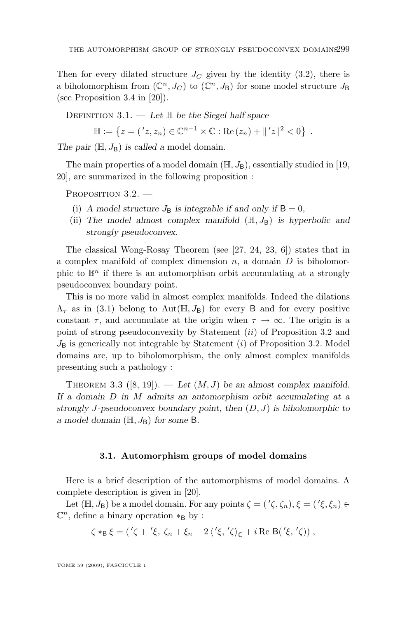<span id="page-9-0"></span>Then for every dilated structure  $J_C$  given by the identity [\(3.2\)](#page-8-0), there is a biholomorphism from  $(\mathbb{C}^n, J_C)$  to  $(\mathbb{C}^n, J_B)$  for some model structure  $J_B$ (see Proposition 3.4 in [\[20\]](#page-19-0)).

Definition 3.1. — *Let* H *be the Siegel half space*

 $\mathbb{H} := \{ z = ('z, z_n) \in \mathbb{C}^{n-1} \times \mathbb{C} : \text{Re}(z_n) + ||'z||^2 < 0 \}$ .

*The pair*  $(\mathbb{H}, J_B)$  *is called a model domain.* 

The main properties of a model domain  $(\mathbb{H}, J_B)$ , essentially studied in [\[19,](#page-19-0) [20\]](#page-19-0), are summarized in the following proposition :

PROPOSITION 3.2.

- (i) A model structure  $J_B$  is integrable if and only if  $B = 0$ ,
- (ii) The model almost complex manifold  $(H, J_B)$  is hyperbolic and *strongly pseudoconvex.*

The classical Wong-Rosay Theorem (see [\[27,](#page-19-0) [24,](#page-19-0) [23,](#page-19-0) [6\]](#page-18-0)) states that in a complex manifold of complex dimension  $n$ , a domain  $D$  is biholomorphic to  $\mathbb{B}^n$  if there is an automorphism orbit accumulating at a strongly pseudoconvex boundary point.

This is no more valid in almost complex manifolds. Indeed the dilations  $\Lambda_{\tau}$  as in [\(3.1\)](#page-8-0) belong to Aut(H,  $J_{\rm B}$ ) for every B and for every positive constant  $\tau$ , and accumulate at the origin when  $\tau \to \infty$ . The origin is a point of strong pseudoconvexity by Statement (ii) of Proposition 3.2 and  $J_{\rm B}$  is generically not integrable by Statement (i) of Proposition 3.2. Model domains are, up to biholomorphism, the only almost complex manifolds presenting such a pathology :

THEOREM 3.3  $([8, 19])$  $([8, 19])$  $([8, 19])$  $([8, 19])$  $([8, 19])$ . — Let  $(M, J)$  be an almost complex manifold. *If a domain* D *in* M *admits an automorphism orbit accumulating at a strongly* J*-pseudoconvex boundary point, then* (D, J) *is biholomorphic to a* model domain  $(\mathbb{H}, J_B)$  for some B.

#### **3.1. Automorphism groups of model domains**

Here is a brief description of the automorphisms of model domains. A complete description is given in [\[20\]](#page-19-0).

Let  $(\mathbb{H}, J_B)$  be a model domain. For any points  $\zeta = (1, \zeta, \zeta_n), \xi = (1, \xi, \zeta_n) \in$  $\mathbb{C}^n$ , define a binary operation  $*_B$  by :

$$
\zeta *_B \xi = (\langle \zeta + \langle \xi, \zeta_n + \xi_n - 2 \langle \zeta, \zeta \rangle_{\mathbb{C}} + i \operatorname{Re} B(\langle \xi, \zeta \rangle) ,
$$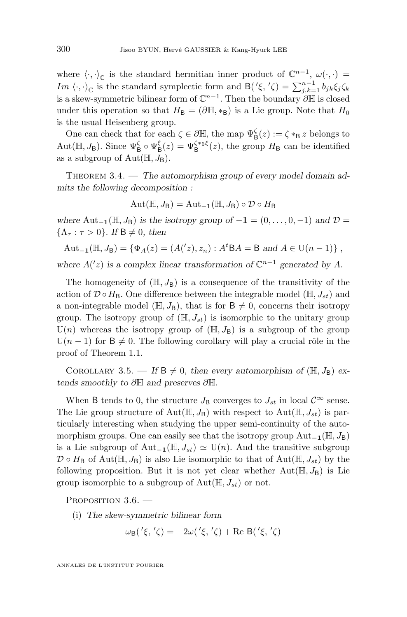<span id="page-10-0"></span>where  $\langle \cdot, \cdot \rangle_{\mathbb{C}}$  is the standard hermitian inner product of  $\mathbb{C}^{n-1}$ ,  $\omega(\cdot, \cdot)$  = Im  $\langle \cdot, \cdot \rangle_{\mathbb{C}}$  is the standard symplectic form and  $\mathsf{B}(\prime \xi, \prime \zeta) = \sum_{j,k=1}^{n-1} b_{jk} \xi_j \zeta_k$ is a skew-symmetric bilinear form of  $\mathbb{C}^{n-1}$ . Then the boundary  $\partial \mathbb{H}$  is closed under this operation so that  $H_{\text{B}} = (\partial \mathbb{H}, *_{\text{B}})$  is a Lie group. Note that  $H_0$ is the usual Heisenberg group.

One can check that for each  $\zeta \in \partial \mathbb{H}$ , the map  $\Psi_{\mathsf{B}}^{\zeta}(z) := \zeta *_{\mathsf{B}} z$  belongs to Aut( $\mathbb{H}, J_B$ ). Since  $\Psi_B^{\zeta} \circ \Psi_B^{\xi}(z) = \Psi_B^{\zeta *_{B} \xi}(z)$ , the group  $H_B$  can be identified as a subgroup of  $Aut(\mathbb{H}, J_B)$ .

THEOREM 3.4. — The automorphism group of every model domain ad*mits the following decomposition :*

$$
\mathrm{Aut}(\mathbb{H},J_{\mathsf{B}})=\mathrm{Aut}_{\mathbf{-1}}(\mathbb{H},J_{\mathsf{B}})\circ\mathcal{D}\circ H_{\mathsf{B}}
$$

*where*  $Aut_{-1}(\mathbb{H}, J_B)$  *is the isotropy group of*  $-1 = (0, \ldots, 0, -1)$  *and*  $\mathcal{D} =$  $\{\Lambda_\tau : \tau > 0\}$ . If  $B \neq 0$ , then

$$
Aut_{-1}(\mathbb{H}, J_B) = \{ \Phi_A(z) = (A'(z), z_n) : A^tBA = B \text{ and } A \in U(n-1) \},
$$

where  $A('z)$  is a complex linear transformation of  $\mathbb{C}^{n-1}$  generated by A.

The homogeneity of  $(H, J_B)$  is a consequence of the transitivity of the action of  $\mathcal{D} \circ H_{\mathsf{B}}$ . One difference between the integrable model ( $\mathbb{H}, J_{st}$ ) and a non-integrable model ( $\mathbb{H}, J_B$ ), that is for  $B \neq 0$ , concerns their isotropy group. The isotropy group of  $(H, J<sub>st</sub>)$  is isomorphic to the unitary group  $U(n)$  whereas the isotropy group of  $(H, J_B)$  is a subgroup of the group  $U(n-1)$  for  $B \neq 0$ . The following corollary will play a crucial rôle in the proof of Theorem [1.1.](#page-2-0)

COROLLARY 3.5. — If  $B \neq 0$ , then every automorphism of  $(\mathbb{H}, J_B)$  ex*tends smoothly to* ∂H *and preserves* ∂H*.*

When B tends to 0, the structure  $J_{\rm B}$  converges to  $J_{st}$  in local  $\mathcal{C}^{\infty}$  sense. The Lie group structure of Aut( $\mathbb{H}, J_{\mathsf{B}}$ ) with respect to Aut( $\mathbb{H}, J_{st}$ ) is particularly interesting when studying the upper semi-continuity of the automorphism groups. One can easily see that the isotropy group  $\text{Aut}_{-1}(\mathbb{H}, J_B)$ is a Lie subgroup of Aut<sub>-1</sub>( $\mathbb{H}, J_{st}$ )  $\simeq$  U(n). And the transitive subgroup  $\mathcal{D} \circ H_{\mathsf{B}}$  of Aut $(\mathbb{H}, J_{\mathsf{B}})$  is also Lie isomorphic to that of Aut $(\mathbb{H}, J_{st})$  by the following proposition. But it is not yet clear whether  $Aut(\mathbb{H}, J_B)$  is Lie group isomorphic to a subgroup of  $Aut(\mathbb{H}, J_{st})$  or not.

PROPOSITION 3.6.

(i) *The skew-symmetric bilinear form*

$$
\omega_{\mathsf{B}}(\mathsf{'}\xi,\mathsf{'}\zeta) = -2\omega(\mathsf{'}\xi,\mathsf{'}\zeta) + \text{Re }\mathsf{B}(\mathsf{'}\xi,\mathsf{'}\zeta)
$$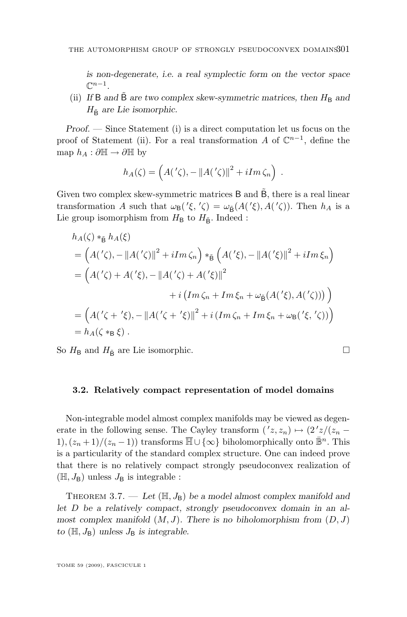<span id="page-11-0"></span>*is non-degenerate, i.e. a real symplectic form on the vector space*  $\mathbb{C}^{n-1}$ .

(ii) If B and  $\dot{\mathsf{B}}$  are two complex skew-symmetric matrices, then  $H_{\rm B}$  and  $H_{\tilde{B}}$  are Lie isomorphic.

*Proof. —* Since Statement (i) is a direct computation let us focus on the proof of Statement (ii). For a real transformation A of  $\mathbb{C}^{n-1}$ , define the map  $h_A : \partial \mathbb{H} \to \partial \mathbb{H}$  by

$$
h_A(\zeta) = \left( A(\prime \zeta), -\|A(\prime \zeta)\|^2 + iIm \,\zeta_n \right) .
$$

Given two complex skew-symmetric matrices  $B$  and  $\tilde{B}$ , there is a real linear transformation A such that  $\omega_B({\prime \xi, \zeta}) = \omega_{\tilde{B}}(A({\prime \xi}), A({\prime \zeta}))$ . Then  $h_A$  is a Lie group isomorphism from  $H_\mathsf{B}$  to  $H_{\tilde{\mathsf{B}}}$ . Indeed :

$$
h_A(\zeta) *_{\tilde{B}} h_A(\xi)
$$
  
=  $(A'(\zeta), -||A'(\zeta)||^2 + iIm \zeta_n) *_{\tilde{B}} (A'(\xi), -||A'(\zeta)||^2 + iIm \xi_n)$   
=  $(A'(\zeta) + A'(\zeta), -||A'(\zeta) + A'(\zeta)||^2$   
+  $i (Im \zeta_n + Im \xi_n + \omega_{\tilde{B}} (A'(\zeta), A'(\zeta)))$   
=  $(A'(\zeta + \zeta), -||A'(\zeta + \zeta)||^2 + i (Im \zeta_n + Im \xi_n + \omega_B(\zeta, \zeta)))$   
=  $h_A(\zeta *_{B} \xi)$ .

So  $H_{\rm B}$  and  $H_{\rm B}$  are Lie isomorphic.

#### **3.2. Relatively compact representation of model domains**

Non-integrable model almost complex manifolds may be viewed as degenerate in the following sense. The Cayley transform  $(2, z_n) \mapsto (2^2z/(z_n - z_n))$ 1),  $(z_n + 1)/(z_n - 1)$  transforms  $\overline{\mathbb{H}} \cup {\infty}$  biholomorphically onto  $\overline{\mathbb{B}}^n$ . This is a particularity of the standard complex structure. One can indeed prove that there is no relatively compact strongly pseudoconvex realization of  $(\mathbb{H}, J_{\mathsf{B}})$  unless  $J_{\mathsf{B}}$  is integrable :

THEOREM 3.7. — Let  $(H, J_B)$  be a model almost complex manifold and *let* D *be a relatively compact, strongly pseudoconvex domain in an almost complex manifold*  $(M, J)$ *. There is no biholomorphism from*  $(D, J)$  $to$  ( $\mathbb{H}, J_B$ ) *unless*  $J_B$  *is integrable.* 

TOME 59 (2009), FASCICULE 1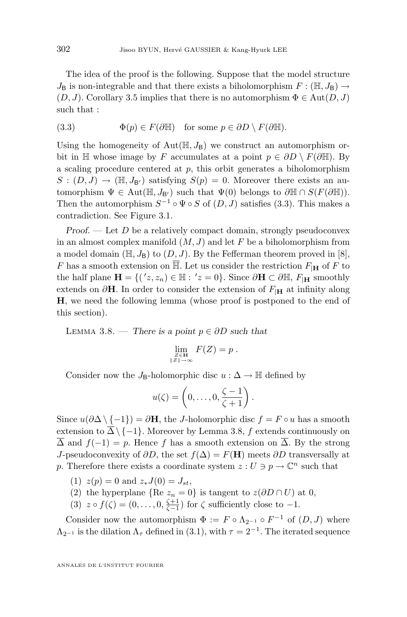<span id="page-12-0"></span>The idea of the proof is the following. Suppose that the model structure  $J_{\rm B}$  is non-integrable and that there exists a biholomorphism  $F : (\mathbb{H}, J_{\rm B}) \to$  $(D, J)$ . Corollary [3.5](#page-10-0) implies that there is no automorphism  $\Phi \in \text{Aut}(D, J)$ such that :

(3.3) 
$$
\Phi(p) \in F(\partial \mathbb{H}) \quad \text{for some } p \in \partial D \setminus F(\partial \mathbb{H}).
$$

Using the homogeneity of  $Aut(\mathbb{H}, J_B)$  we construct an automorphism orbit in H whose image by F accumulates at a point  $p \in \partial D \setminus F(\partial \mathbb{H})$ . By a scaling procedure centered at  $p$ , this orbit generates a biholomorphism  $S: (D, J) \to (\mathbb{H}, J_{\mathsf{B}'})$  satisfying  $S(p) = 0$ . Moreover there exists an automorphism  $\Psi \in \text{Aut}(\mathbb{H}, J_{\mathsf{B}'})$  such that  $\Psi(0)$  belongs to  $\partial \mathbb{H} \cap S(F(\partial \mathbb{H}))$ . Then the automorphism  $S^{-1} \circ \Psi \circ S$  of  $(D, J)$  satisfies  $(3.3)$ . This makes a contradiction. See Figure [3.1.](#page-14-0)

*Proof.* — Let D be a relatively compact domain, strongly pseudoconvex in an almost complex manifold  $(M, J)$  and let F be a biholomorphism from a model domain ( $\mathbb{H}, J_{\mathsf{B}}$ ) to  $(D, J)$ . By the Fefferman theorem proved in [\[8\]](#page-18-0), F has a smooth extension on  $\overline{\mathbb{H}}$ . Let us consider the restriction  $F_{\vert \mathbf{H}}$  of F to the half plane  $\mathbf{H} = \{ (z, z_n) \in \mathbb{H} : z = 0 \}$ . Since  $\partial \mathbf{H} \subset \partial \mathbb{H}$ ,  $F_{|\mathbf{H}}$  smoothly extends on  $\partial$ **H**. In order to consider the extension of  $F_{\text{H}}$  at infinity along H, we need the following lemma (whose proof is postponed to the end of this section).

Lemma 3.8. — *There is a point* p ∈ ∂D *such that*

$$
\lim_{\substack{Z \in \mathbf{H} \\ \|Z\| \to \infty}} F(Z) = p.
$$

Consider now the J<sub>B</sub>-holomorphic disc  $u : \Delta \to \mathbb{H}$  defined by

$$
u(\zeta) = \left(0,\ldots,0,\frac{\zeta-1}{\zeta+1}\right).
$$

Since  $u(\partial \Delta \setminus \{-1\}) = \partial \mathbf{H}$ , the J-holomorphic disc  $f = F \circ u$  has a smooth extension to  $\overline{\Delta}\setminus\{-1\}$ . Moreover by Lemma 3.8, f extends continuously on  $\overline{\Delta}$  and  $f(-1) = p$ . Hence f has a smooth extension on  $\overline{\Delta}$ . By the strong J-pseudoconvexity of  $\partial D$ , the set  $f(\Delta) = F(H)$  meets  $\partial D$  transversally at p. Therefore there exists a coordinate system  $z: U \ni p \to \mathbb{C}^n$  such that

- (1)  $z(p) = 0$  and  $z_*J(0) = J_{st}$ ,
- (2) the hyperplane {Re  $z_n = 0$ } is tangent to  $z(\partial D \cap U)$  at 0,
- (3)  $z \circ f(\zeta) = (0, \ldots, 0, \frac{\zeta+1}{\zeta-1})$  for  $\zeta$  sufficiently close to -1.

Consider now the automorphism  $\Phi := F \circ \Lambda_{2^{-1}} \circ F^{-1}$  of  $(D, J)$  where  $\Lambda_{2^{-1}}$  is the dilation  $\Lambda_{\tau}$  defined in [\(3.1\)](#page-8-0), with  $\tau = 2^{-1}$ . The iterated sequence

ANNALES DE L'INSTITUT FOURIER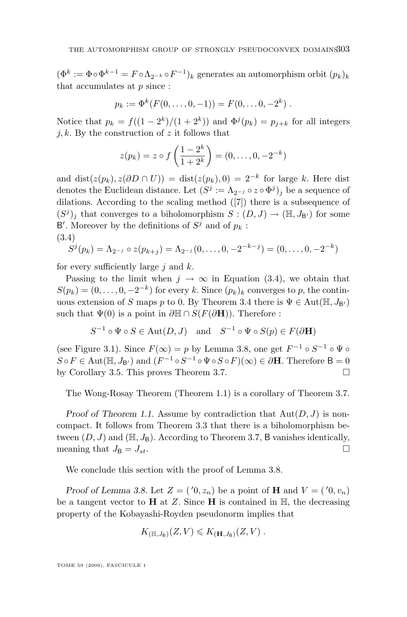$(\Phi^k := \Phi \circ \Phi^{k-1} = F \circ \Lambda_{2^{-k}} \circ F^{-1})_k$  generates an automorphism orbit  $(p_k)_k$ that accumulates at  $p$  since :

$$
p_k := \Phi^k(F(0, \ldots, 0, -1)) = F(0, \ldots, 0, -2^k).
$$

Notice that  $p_k = f((1 - 2^k)/(1 + 2^k))$  and  $\Phi^{j}(p_k) = p_{j+k}$  for all integers j, k. By the construction of z it follows that

$$
z(p_k) = z \circ f\left(\frac{1-2^k}{1+2^k}\right) = (0,\ldots,0,-2^{-k})
$$

and dist( $z(p_k)$ ,  $z(\partial D \cap U)$ ) = dist( $z(p_k)$ , 0) =  $2^{-k}$  for large k. Here dist denotes the Euclidean distance. Let  $(S^j := \Lambda_{2^{-j}} \circ z \circ \Phi^j)_j$  be a sequence of dilations. According to the scaling method ([\[7\]](#page-18-0)) there is a subsequence of  $(S^{j})_{j}$  that converges to a biholomorphism  $S : (D, J) \to (\mathbb{H}, J_{B})$  for some B'. Moreover by the definitions of  $S^j$  and of  $p_k$ : (3.4)

$$
S^{j}(p_{k}) = \Lambda_{2^{-j}} \circ z(p_{k+j}) = \Lambda_{2^{-j}}(0,\ldots,0,-2^{-k-j}) = (0,\ldots,0,-2^{-k})
$$

for every sufficiently large  $j$  and  $k$ .

Passing to the limit when  $j \to \infty$  in Equation (3.4), we obtain that  $S(p_k) = (0, \ldots, 0, -2^{-k})$  for every k. Since  $(p_k)_k$  converges to p, the contin-uous extension of S maps p to 0. By Theorem [3.4](#page-10-0) there is  $\Psi \in \text{Aut}(\mathbb{H}, J_{\mathsf{B}})$ such that  $\Psi(0)$  is a point in  $\partial \mathbb{H} \cap S(F(\partial \mathbf{H}))$ . Therefore :

$$
S^{-1} \circ \Psi \circ S \in \text{Aut}(D, J) \quad \text{and} \quad S^{-1} \circ \Psi \circ S(p) \in F(\partial \mathbf{H})
$$

(see Figure [3.1\)](#page-14-0). Since  $F(\infty) = p$  by Lemma [3.8,](#page-12-0) one get  $F^{-1} \circ S^{-1} \circ \Psi \circ$  $S \circ F \in \text{Aut}(\mathbb{H}, J_{\mathsf{B}'})$  and  $(F^{-1} \circ S^{-1} \circ \Psi \circ S \circ F)(\infty) \in \partial \mathbf{H}$ . Therefore  $\mathsf{B} = 0$ by Corollary [3.5.](#page-10-0) This proves Theorem [3.7.](#page-11-0)

The Wong-Rosay Theorem (Theorem [1.1\)](#page-2-0) is a corollary of Theorem [3.7.](#page-11-0)

*Proof of Theorem [1.1.](#page-2-0)* Assume by contradiction that  $Aut(D, J)$  is noncompact. It follows from Theorem [3.3](#page-9-0) that there is a biholomorphism between  $(D, J)$  and  $(\mathbb{H}, J_B)$ . According to Theorem [3.7,](#page-11-0) B vanishes identically, meaning that  $J_{\mathsf{B}} = J_{st}$ .

We conclude this section with the proof of Lemma [3.8.](#page-12-0)

*Proof of Lemma [3.8.](#page-12-0)* Let  $Z = (0, z_n)$  be a point of **H** and  $V = (0, v_n)$ be a tangent vector to  $H$  at  $Z$ . Since  $H$  is contained in  $H$ , the decreasing property of the Kobayashi-Royden pseudonorm implies that

$$
K_{(\mathbb{H},J_{\mathsf{B}})}(Z,V)\leqslant K_{(\mathbf{H},J_{\mathsf{B}})}(Z,V)\ .
$$

TOME 59 (2009), FASCICULE 1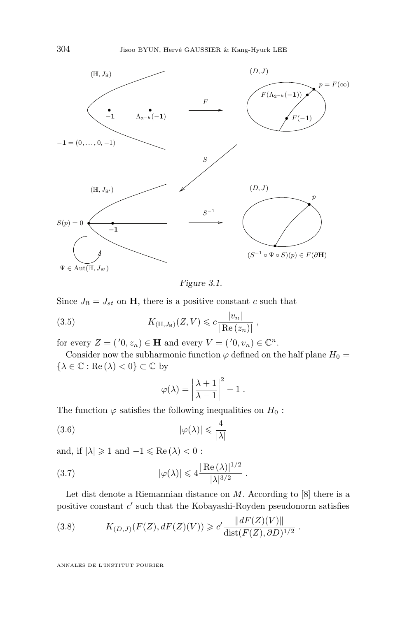<span id="page-14-0"></span>

*Figure 3.1.*

Since  $J_{\mathbf{B}} = J_{st}$  on **H**, there is a positive constant c such that

(3.5) 
$$
K_{(\mathbb{H},J_{\mathbb{B}})}(Z,V) \leq c \frac{|v_n|}{|\operatorname{Re}(z_n)|},
$$

for every  $Z = ('0, z_n) \in \mathbf{H}$  and every  $V = ('0, v_n) \in \mathbb{C}^n$ .

Consider now the subharmonic function  $\varphi$  defined on the half plane  $H_0 =$  $\{\lambda \in \mathbb{C} : \text{Re}(\lambda) < 0\} \subset \mathbb{C}$  by

$$
\varphi(\lambda) = \left| \frac{\lambda + 1}{\lambda - 1} \right|^2 - 1.
$$

The function  $\varphi$  satisfies the following inequalities on  $H_0$ :

$$
|\varphi(\lambda)| \leqslant \frac{4}{|\lambda|}
$$

and, if  $|\lambda| \geq 1$  and  $-1 \leq \text{Re}(\lambda) < 0$ :

(3.7) 
$$
|\varphi(\lambda)| \leq 4 \frac{|\operatorname{Re}(\lambda)|^{1/2}}{|\lambda|^{3/2}}.
$$

Let dist denote a Riemannian distance on  $M$ . According to  $[8]$  there is a positive constant  $c'$  such that the Kobayashi-Royden pseudonorm satisfies

(3.8) 
$$
K_{(D,J)}(F(Z), dF(Z)(V)) \geq c' \frac{\|dF(Z)(V)\|}{\text{dist}(F(Z), \partial D)^{1/2}}.
$$

ANNALES DE L'INSTITUT FOURIER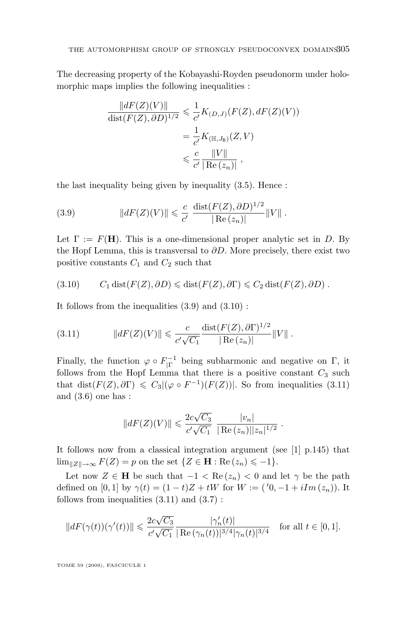The decreasing property of the Kobayashi-Royden pseudonorm under holomorphic maps implies the following inequalities :

$$
\frac{\|dF(Z)(V)\|}{\text{dist}(F(Z), \partial D)^{1/2}} \leq \frac{1}{c'} K_{(D,J)}(F(Z), dF(Z)(V))
$$

$$
= \frac{1}{c'} K_{(\mathbb{H}, J_B)}(Z, V)
$$

$$
\leq \frac{c}{c'} \frac{\|V\|}{|\text{Re}(z_n)|},
$$

the last inequality being given by inequality [\(3.5\)](#page-14-0). Hence :

(3.9) 
$$
||dF(Z)(V)|| \leq \frac{c}{c'} \frac{\text{dist}(F(Z), \partial D)^{1/2}}{|\text{Re}(z_n)|} ||V||.
$$

Let  $\Gamma := F(H)$ . This is a one-dimensional proper analytic set in D. By the Hopf Lemma, this is transversal to  $\partial D$ . More precisely, there exist two positive constants  $C_1$  and  $C_2$  such that

$$
(3.10) \t C1 dist(F(Z), \partial D) \leq dist(F(Z), \partial \Gamma) \leq C2 dist(F(Z), \partial D).
$$

It follows from the inequalities (3.9) and (3.10) :

(3.11) 
$$
||dF(Z)(V)|| \leqslant \frac{c}{c'\sqrt{C_1}} \frac{\text{dist}(F(Z), \partial \Gamma)^{1/2}}{|\operatorname{Re}(z_n)|} ||V||.
$$

Finally, the function  $\varphi \circ F_{|\Gamma}^{-1}$  being subharmonic and negative on  $\Gamma$ , it follows from the Hopf Lemma that there is a positive constant  $C_3$  such that dist( $F(Z), \partial Y$ )  $\leq C_3 |(\varphi \circ F^{-1})(F(Z))|$ . So from inequalities (3.11) and  $(3.6)$  one has :

$$
||dF(Z)(V)|| \leq \frac{2c\sqrt{C_3}}{c'\sqrt{C_1}} \frac{|v_n|}{|\operatorname{Re}(z_n)||z_n|^{1/2}}.
$$

It follows now from a classical integration argument (see [\[1\]](#page-18-0) p.145) that  $\lim_{\|Z\|\to\infty} F(Z) = p$  on the set  $\{Z \in \mathbf{H} : \text{Re}(z_n) \leq -1\}.$ 

Let now  $Z \in \mathbf{H}$  be such that  $-1 < \text{Re}(z_n) < 0$  and let  $\gamma$  be the path defined on [0, 1] by  $\gamma(t) = (1-t)Z + tW$  for  $W := (0, -1 + iIm(z_n))$ . It follows from inequalities  $(3.11)$  and  $(3.7)$ :

$$
||dF(\gamma(t))(\gamma'(t))|| \leq \frac{2c\sqrt{C_3}}{c'\sqrt{C_1}} \frac{|\gamma_n'(t)|}{|\operatorname{Re}\left(\gamma_n(t)\right)|^{3/4}|\gamma_n(t)|^{3/4}} \quad \text{for all } t \in [0,1].
$$

TOME 59 (2009), FASCICULE 1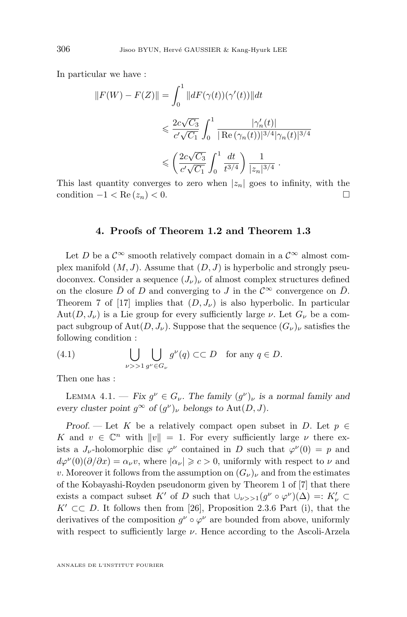<span id="page-16-0"></span>In particular we have :

$$
||F(W) - F(Z)|| = \int_0^1 ||dF(\gamma(t))(\gamma'(t))||dt
$$
  

$$
\leq \frac{2c\sqrt{C_3}}{c'\sqrt{C_1}} \int_0^1 \frac{|\gamma'_n(t)|}{|\text{Re}(\gamma_n(t))|^{3/4} |\gamma_n(t)|^{3/4}}
$$
  

$$
\leq \left(\frac{2c\sqrt{C_3}}{c'\sqrt{C_1}} \int_0^1 \frac{dt}{t^{3/4}}\right) \frac{1}{|z_n|^{3/4}}.
$$

This last quantity converges to zero when  $|z_n|$  goes to infinity, with the condition  $-1 < \text{Re}(z_n) < 0$ .

#### **4. Proofs of Theorem [1.2](#page-3-0) and Theorem [1.3](#page-4-0)**

Let D be a  $\mathcal{C}^{\infty}$  smooth relatively compact domain in a  $\mathcal{C}^{\infty}$  almost complex manifold  $(M, J)$ . Assume that  $(D, J)$  is hyperbolic and strongly pseudoconvex. Consider a sequence  $(J_{\nu})_{\nu}$  of almost complex structures defined on the closure  $\bar{D}$  of D and converging to J in the  $\mathcal{C}^{\infty}$  convergence on  $\bar{D}$ . Theorem 7 of [\[17\]](#page-19-0) implies that  $(D, J_{\nu})$  is also hyperbolic. In particular  $Aut(D, J_{\nu})$  is a Lie group for every sufficiently large  $\nu$ . Let  $G_{\nu}$  be a compact subgroup of  $\text{Aut}(D, J_{\nu})$ . Suppose that the sequence  $(G_{\nu})_{\nu}$  satisfies the following condition :

(4.1) 
$$
\bigcup_{\nu>>1} \bigcup_{g^{\nu}\in G_{\nu}} g^{\nu}(q) \subset\subset D \text{ for any } q\in D.
$$

Then one has :

LEMMA 4.1. — *Fix*  $g^{\nu} \in G_{\nu}$ . The family  $(g^{\nu})_{\nu}$  *is a normal family and every cluster point*  $g^{\infty}$  *of*  $(g^{\nu})_{\nu}$  *belongs to*  $Aut(D, J)$ *.* 

*Proof.* — Let K be a relatively compact open subset in D. Let  $p \in$ K and  $v \in \mathbb{C}^n$  with  $||v|| = 1$ . For every sufficiently large  $\nu$  there exists a  $J_{\nu}$ -holomorphic disc  $\varphi^{\nu}$  contained in D such that  $\varphi^{\nu}(0) = p$  and  $d\varphi^{\nu}(0)(\partial/\partial x) = \alpha_{\nu}v$ , where  $|\alpha_{\nu}| \geqslant c > 0$ , uniformly with respect to  $\nu$  and v. Moreover it follows from the assumption on  $(G_{\nu})_{\nu}$  and from the estimates of the Kobayashi-Royden pseudonorm given by Theorem 1 of [\[7\]](#page-18-0) that there exists a compact subset K' of D such that  $\cup_{\nu>1}(g^{\nu}\circ\varphi^{\nu})(\Delta) =: K'_{\nu} \subset$  $K' \subset\subset D$ . It follows then from [\[26\]](#page-19-0), Proposition 2.3.6 Part (i), that the derivatives of the composition  $g^{\nu} \circ \varphi^{\nu}$  are bounded from above, uniformly with respect to sufficiently large  $\nu$ . Hence according to the Ascoli-Arzela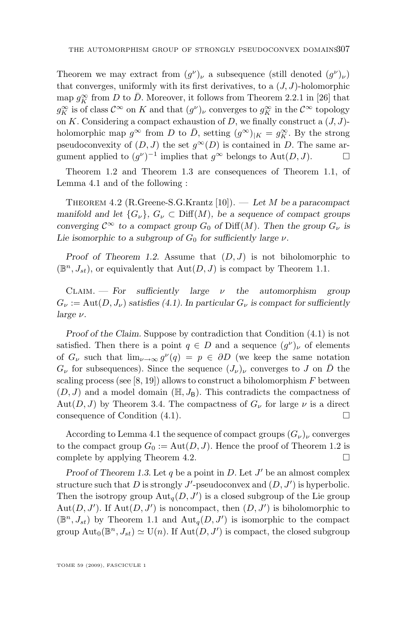<span id="page-17-0"></span>Theorem we may extract from  $(g^{\nu})_{\nu}$  a subsequence (still denoted  $(g^{\nu})_{\nu}$ ) that converges, uniformly with its first derivatives, to a  $(J, J)$ -holomorphic map  $g_K^{\infty}$  from D to  $\bar{D}$ . Moreover, it follows from Theorem 2.2.1 in [\[26\]](#page-19-0) that  $g_K^{\infty}$  is of class  $\mathcal{C}^{\infty}$  on K and that  $(g^{\nu})_{\nu}$  converges to  $g_K^{\infty}$  in the  $\mathcal{C}^{\infty}$  topology on K. Considering a compact exhaustion of D, we finally construct a  $(J, J)$ holomorphic map  $g^{\infty}$  from D to  $\overline{D}$ , setting  $(g^{\infty})_{|K} = g_K^{\infty}$ . By the strong pseudoconvexity of  $(D, J)$  the set  $q^{\infty}(D)$  is contained in D. The same argument applied to  $(g^{\nu})^{-1}$  implies that  $g^{\infty}$  belongs to Aut $(D, J)$ .

Theorem [1.2](#page-3-0) and Theorem [1.3](#page-4-0) are consequences of Theorem [1.1,](#page-2-0) of Lemma [4.1](#page-16-0) and of the following :

Theorem 4.2 (R.Greene-S.G.Krantz [\[10\]](#page-18-0)). — *Let* M *be a paracompact manifold and let*  $\{G_{\nu}\}\text{, } G_{\nu} \subset \text{Diff}(M)$ , be a sequence of compact groups *converging*  $C^{\infty}$  *to a compact group*  $G_0$  *of* Diff(*M*)*.* Then the group  $G_{\nu}$  *is Lie isomorphic to a subgroup of*  $G_0$  *for sufficiently large*  $\nu$ *.* 

*Proof of Theorem [1.2.](#page-3-0)* Assume that  $(D, J)$  is not biholomorphic to  $(\mathbb{B}^n, J_{st})$ , or equivalently that  $Aut(D, J)$  is compact by Theorem [1.1.](#page-2-0)

Claim. — *For sufficiently large* ν *the automorphism group*  $G_{\nu} := \text{Aut}(D, J_{\nu})$  *satisfies [\(4.1\)](#page-16-0).* In particular  $G_{\nu}$  is compact for sufficiently *large* ν*.*

*Proof of the Claim.* Suppose by contradiction that Condition [\(4.1\)](#page-16-0) is not satisfied. Then there is a point  $q \in D$  and a sequence  $(g^{\nu})_{\nu}$  of elements of  $G_{\nu}$  such that  $\lim_{\nu\to\infty} g^{\nu}(q) = p \in \partial D$  (we keep the same notation  $G_{\nu}$  for subsequences). Since the sequence  $(J_{\nu})_{\nu}$  converges to J on  $\bar{D}$  the scaling process (see [\[8,](#page-18-0) [19\]](#page-19-0)) allows to construct a biholomorphism  $F$  between  $(D, J)$  and a model domain  $(\mathbb{H}, J_B)$ . This contradicts the compactness of Aut $(D, J)$  by Theorem [3.4.](#page-10-0) The compactness of  $G_{\nu}$  for large  $\nu$  is a direct consequence of Condition  $(4.1)$ .

According to Lemma [4.1](#page-16-0) the sequence of compact groups  $(G_{\nu})_{\nu}$  converges to the compact group  $G_0 := \text{Aut}(D, J)$ . Hence the proof of Theorem [1.2](#page-3-0) is complete by applying Theorem 4.2.  $\Box$ 

*Proof of Theorem [1.3.](#page-4-0)* Let  $q$  be a point in  $D$ . Let  $J'$  be an almost complex structure such that D is strongly  $J'$ -pseudoconvex and  $(D, J')$  is hyperbolic. Then the isotropy group  $\text{Aut}_q(D, J')$  is a closed subgroup of the Lie group Aut $(D, J')$ . If Aut $(D, J')$  is noncompact, then  $(D, J')$  is biholomorphic to  $(\mathbb{B}^n, J_{st})$  by Theorem [1.1](#page-2-0) and  $\text{Aut}_q(D, J')$  is isomorphic to the compact group  $\text{Aut}_0(\mathbb{B}^n, J_{st}) \simeq \text{U}(n)$ . If  $\text{Aut}(D, J')$  is compact, the closed subgroup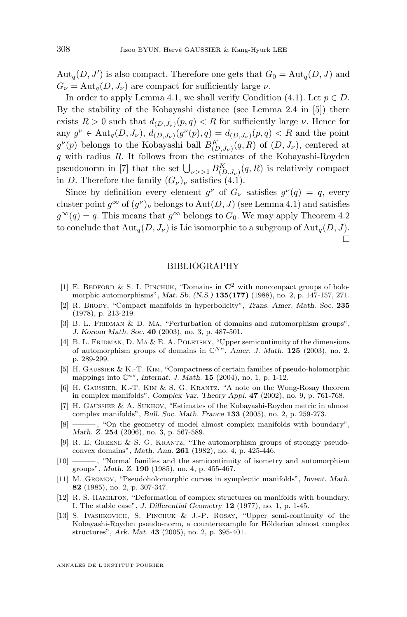<span id="page-18-0"></span> $\text{Aut}_q(D, J')$  is also compact. Therefore one gets that  $G_0 = \text{Aut}_q(D, J)$  and  $G_{\nu} = \text{Aut}_{q}(D, J_{\nu})$  are compact for sufficiently large  $\nu$ .

In order to apply Lemma [4.1,](#page-16-0) we shall verify Condition [\(4.1\)](#page-16-0). Let  $p \in D$ . By the stability of the Kobayashi distance (see Lemma 2.4 in [5]) there exists  $R > 0$  such that  $d_{(D,J_{\nu})}(p,q) < R$  for sufficiently large  $\nu$ . Hence for any  $g^{\nu} \in \text{Aut}_{q}(D, J_{\nu}), d_{(D, J_{\nu})}(g^{\nu}(p), q) = d_{(D, J_{\nu})}(p, q) < R$  and the point  $g^{\nu}(p)$  belongs to the Kobayashi ball  $B_{(D, J_{\nu})}^{K}(q, R)$  of  $(D, J_{\nu})$ , centered at  $q$  with radius  $R$ . It follows from the estimates of the Kobayashi-Royden pseudonorm in [7] that the set  $\bigcup_{\nu>>1} B^K_{(D,J_\nu)}(q,R)$  is relatively compact in D. Therefore the family  $(G_{\nu})_{\nu}$  satisfies [\(4](#page-16-0).1).

Since by definition every element  $g^{\nu}$  of  $G_{\nu}$  satisfies  $g^{\nu}(q) = q$ , every cluster point  $g^{\infty}$  of  $(g^{\nu})_{\nu}$  belongs to  $\text{Aut}(D, J)$  (see Lemma [4.1\)](#page-16-0) and satisfies  $g^{\infty}(q) = q$ . This means that  $g^{\infty}$  belongs to  $G_0$ . We may apply Theorem [4.2](#page-17-0) to conclude that  $\text{Aut}_q(D, J_\nu)$  is Lie isomorphic to a subgroup of  $\text{Aut}_q(D, J)$ .  $\Box$ 

#### BIBLIOGRAPHY

- [1] E. BEDFORD & S. I. PINCHUK, "Domains in  $\mathbb{C}^2$  with noncompact groups of holomorphic automorphisms", *Mat. Sb. (N.S.)* **135(177)** (1988), no. 2, p. 147-157, 271.
- [2] R. Brody, "Compact manifolds in hyperbolicity", *Trans. Amer. Math. Soc.* **235** (1978), p. 213-219.
- [3] B. L. FRIDMAN & D. MA, "Perturbation of domains and automorphism groups", *J. Korean Math. Soc.* **40** (2003), no. 3, p. 487-501.
- [4] B. L. FRIDMAN, D. MA & E. A. POLETSKY, "Upper semicontinuity of the dimensions of automorphism groups of domains in  $\mathbb{C}^{N}$ ", *Amer. J. Math.* **125** (2003), no. 2, p. 289-299.
- [5] H. Gaussier & K.-T. Kim, "Compactness of certain families of pseudo-holomorphic mappings into  $\mathbb{C}^{n}$ ", *Internat. J. Math.* **15** (2004), no. 1, p. 1-12.
- [6] H. Gaussier, K.-T. Kim & S. G. Krantz, "A note on the Wong-Rosay theorem in complex manifolds", *Complex Var. Theory Appl.* **47** (2002), no. 9, p. 761-768.
- [7] H. Gaussier & A. Sukhov, "Estimates of the Kobayashi-Royden metric in almost complex manifolds", *Bull. Soc. Math. France* **133** (2005), no. 2, p. 259-273.
- [8] ——, "On the geometry of model almost complex manifolds with boundary", *Math. Z.* **254** (2006), no. 3, p. 567-589.
- [9] R. E. Greene & S. G. Krantz, "The automorphism groups of strongly pseudoconvex domains", *Math. Ann.* **261** (1982), no. 4, p. 425-446.
- [10] ——— , "Normal families and the semicontinuity of isometry and automorphism groups", *Math. Z.* **190** (1985), no. 4, p. 455-467.
- [11] M. Gromov, "Pseudoholomorphic curves in symplectic manifolds", *Invent. Math.* **82** (1985), no. 2, p. 307-347.
- [12] R. S. Hamilton, "Deformation of complex structures on manifolds with boundary. I. The stable case", *J. Differential Geometry* **12** (1977), no. 1, p. 1-45.
- [13] S. Ivashkovich, S. Pinchuk & J.-P. Rosay, "Upper semi-continuity of the Kobayashi-Royden pseudo-norm, a counterexample for Hölderian almost complex structures", *Ark. Mat.* **43** (2005), no. 2, p. 395-401.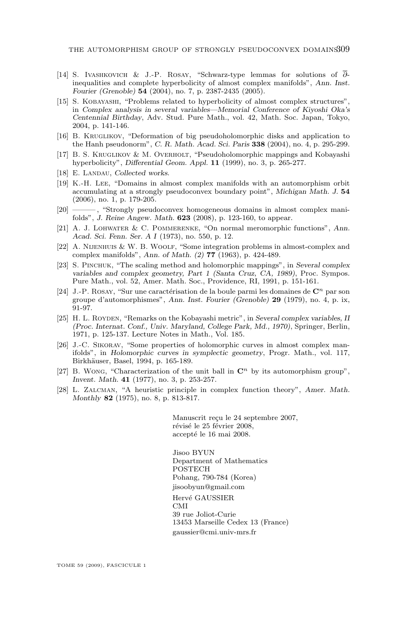- <span id="page-19-0"></span>[14] S. IVASHKOVICH & J.-P. ROSAY, "Schwarz-type lemmas for solutions of  $\overline{\partial}$ inequalities and complete hyperbolicity of almost complex manifolds", *Ann. Inst. Fourier (Grenoble)* **54** (2004), no. 7, p. 2387-2435 (2005).
- [15] S. Kobayashi, "Problems related to hyperbolicity of almost complex structures", in *Complex analysis in several variables—Memorial Conference of Kiyoshi Oka's Centennial Birthday*, Adv. Stud. Pure Math., vol. 42, Math. Soc. Japan, Tokyo, 2004, p. 141-146.
- [16] B. Kruglikov, "Deformation of big pseudoholomorphic disks and application to the Hanh pseudonorm", *C. R. Math. Acad. Sci. Paris* **338** (2004), no. 4, p. 295-299.
- [17] B. S. Kruglikov & M. Overholt, "Pseudoholomorphic mappings and Kobayashi hyperbolicity", *Differential Geom. Appl.* **11** (1999), no. 3, p. 265-277.
- [18] E. LANDAU, *Collected works*.
- [19] K.-H. Lee, "Domains in almost complex manifolds with an automorphism orbit accumulating at a strongly pseudoconvex boundary point", *Michigan Math. J.* **54** (2006), no. 1, p. 179-205.
- [20] ———, "Strongly pseudoconvex homogeneous domains in almost complex manifolds", *J. Reine Angew. Math.* **623** (2008), p. 123-160, to appear.
- [21] A. J. Lohwater & C. Pommerenke, "On normal meromorphic functions", *Ann. Acad. Sci. Fenn. Ser. A I* (1973), no. 550, p. 12.
- [22] A. Nijenhuis & W. B. Woolf, "Some integration problems in almost-complex and complex manifolds", *Ann. of Math. (2)* **77** (1963), p. 424-489.
- [23] S. Pinchuk, "The scaling method and holomorphic mappings", in *Several complex variables and complex geometry, Part 1 (Santa Cruz, CA, 1989)*, Proc. Sympos. Pure Math., vol. 52, Amer. Math. Soc., Providence, RI, 1991, p. 151-161.
- [24] J.-P. ROSAY, "Sur une caractérisation de la boule parmi les domaines de  $\mathbb{C}^n$  par son groupe d'automorphismes", *Ann. Inst. Fourier (Grenoble)* **29** (1979), no. 4, p. ix, 91-97.
- [25] H. L. Royden, "Remarks on the Kobayashi metric", in *Several complex variables, II (Proc. Internat. Conf., Univ. Maryland, College Park, Md., 1970)*, Springer, Berlin, 1971, p. 125-137. Lecture Notes in Math., Vol. 185.
- [26] J.-C. Sikorav, "Some properties of holomorphic curves in almost complex manifolds", in *Holomorphic curves in symplectic geometry*, Progr. Math., vol. 117, Birkhäuser, Basel, 1994, p. 165-189.
- [27] B. Wong, "Characterization of the unit ball in  $\mathbb{C}^n$  by its automorphism group", *Invent. Math.* **41** (1977), no. 3, p. 253-257.
- [28] L. Zalcman, "A heuristic principle in complex function theory", *Amer. Math. Monthly* **82** (1975), no. 8, p. 813-817.

Manuscrit reçu le 24 septembre 2007, révisé le 25 février 2008, accepté le 16 mai 2008.

Jisoo BYUN Department of Mathematics POSTECH Pohang, 790-784 (Korea) [jisoobyun@gmail.com](mailto:jisoobyun@gmail.com) Hervé GAUSSIER CMI 39 rue Joliot-Curie 13453 Marseille Cedex 13 (France) [gaussier@cmi.univ-mrs.fr](mailto:gaussier@cmi.univ-mrs.fr)